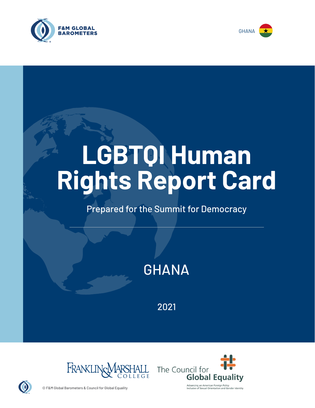



# **LGBTQI Human Rights Report Card**

## Prepared for the Summit for Democracy

# GHANA

2021





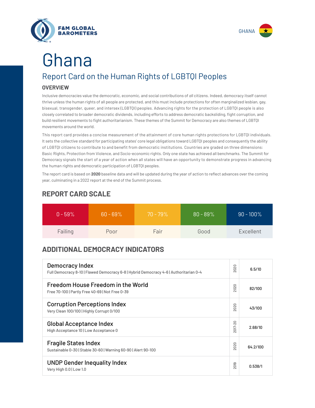



# Report Card on the Human Rights of LGBTQI Peoples Ghana

#### **OVERVIEW**

Inclusive democracies value the democratic, economic, and social contributions of *all* citizens. Indeed, democracy itself cannot thrive unless the human rights of all people are protected, and this must include protections for often marginalized lesbian, gay, bisexual, transgender, queer, and intersex (LGBTQI) peoples. Advancing rights for the protection of LGBTQI people is also closely correlated to broader democratic dividends, including efforts to address democratic backsliding, fight corruption, and build resilient movements to fight authoritarianism. These themes of the Summit for Democracy are also themes of LGBTQI movements around the world.

This report card provides a concise measurement of the attainment of core human rights protections for LGBTQI individuals. It sets the collective standard for participating states' core legal obligations toward LGBTQI peoples and consequently the ability of LGBTQI citizens to contribute to and benefit from democratic institutions. Countries are graded on three dimensions: Basic Rights, Protection from Violence, and Socio-economic rights. Only one state has achieved all benchmarks. The Summit for Democracy signals the start of a year of action when all states will have an opportunity to demonstrate progress in advancing the human rights and democratic participation of LGBTQI peoples.

The report card is based on **2020** baseline data and will be updated during the year of action to reflect advances over the coming year, culminating in a 2022 report at the end of the Summit process.

| $0 - 59\%$ | $60 - 69\%$ | $70 - 79\%$ | $80 - 89\%$ | $90 - 100\%$ |
|------------|-------------|-------------|-------------|--------------|
| Failing    | Poor        | Fair        | Good        | Excellent    |

### **REPORT CARD SCALE**

### **ADDITIONAL DEMOCRACY INDICATORS**

| Democracy Index<br>Full Democracy 8-10   Flawed Democracy 6-8   Hybrid Democracy 4-6   Authoritarian 0-4 | 2020                | 6.5/10   |
|----------------------------------------------------------------------------------------------------------|---------------------|----------|
| Freedom House Freedom in the World<br>Free 70-100   Partly Free 40-69   Not Free 0-39                    | 2020                | 82/100   |
| <b>Corruption Perceptions Index</b><br>Very Clean 100/100   Highly Corrupt 0/100                         | 020<br>$\sim$       | 43/100   |
| <b>Global Acceptance Index</b><br>High Acceptance 10   Low Acceptance 0                                  | 2017-20             | 2.68/10  |
| <b>Fragile States Index</b><br>Sustainable 0-30   Stable 30-60   Warning 60-90   Alert 90-100            | 2020                | 64.2/100 |
| <b>UNDP Gender Inequality Index</b><br>Very High 0.0   Low 1.0                                           | တ<br>$\overline{5}$ | 0.538/1  |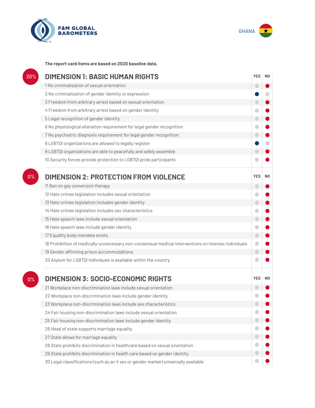



**The report card items are based on 2020 baseline data.**

| 20%   | <b>DIMENSION 1: BASIC HUMAN RIGHTS</b>                                                               | <b>YES</b> | N <sub>0</sub> |
|-------|------------------------------------------------------------------------------------------------------|------------|----------------|
|       | 1 No criminalization of sexual orientation                                                           | ۰          |                |
|       | 2 No criminalization of gender identity or expression                                                |            |                |
|       | 3 Freedom from arbitrary arrest based on sexual orientation                                          | $\Box$     |                |
|       | 4 Freedom from arbitrary arrest based on gender identity                                             |            |                |
|       | 5 Legal recognition of gender identity                                                               | $\bigcirc$ |                |
|       | 6 No physiological alteration requirement for legal gender recognition                               |            |                |
|       | 7 No psychiatric diagnosis requirement for legal gender recognition                                  | $\bigcirc$ |                |
|       | 8 LGBTQI organizations are allowed to legally register                                               |            |                |
|       | 9 LGBTQI organizations are able to peacefully and safely assemble                                    | m          |                |
|       | 10 Security forces provide protection to LGBTQI pride participants                                   |            |                |
| 0%    | <b>DIMENSION 2: PROTECTION FROM VIOLENCE</b>                                                         | <b>YES</b> | N <sub>0</sub> |
|       | 11 Ban on gay conversion therapy                                                                     | $\Box$     |                |
|       | 12 Hate crimes legislation includes sexual orientation                                               |            |                |
|       | 13 Hate crimes legislation includes gender identity                                                  | $\bigcirc$ |                |
|       | 14 Hate crimes legislation includes sex characteristics                                              |            |                |
|       | 15 Hate speech laws include sexual orientation                                                       | $\bigcirc$ |                |
|       | 16 Hate speech laws include gender identity                                                          |            |                |
|       | 17 Equality body mandate exists                                                                      | $\bigcirc$ |                |
|       | 18 Prohibition of medically-unnecessary non-consensual medical interventions on intersex individuals | $\bullet$  |                |
|       | 19 Gender affirming prison accommodations                                                            | $\bigcirc$ |                |
|       | 20 Asylum for LGBTQI individuals is available within the country                                     |            |                |
| $0\%$ | <b>DIMENSION 3: SOCIO-ECONOMIC RIGHTS</b>                                                            | <b>YES</b> | N <sub>0</sub> |
|       | 21 Workplace non-discrimination laws include sexual orientation                                      |            |                |
|       | 22 Workplace non-discrimination laws include gender identity                                         |            |                |
|       | 23 Workplace non-discrimination laws include sex characteristics                                     |            |                |
|       | 24 Fair housing non-discrimination laws include sexual orientation                                   |            |                |
|       | 25 Fair housing non-discrimination laws include gender identity                                      | 0          |                |
|       | 26 Head of state supports marriage equality                                                          |            |                |
|       | 27 State allows for marriage equality                                                                | ۰          |                |
|       | 28 State prohibits discrimination in healthcare based on sexual orientation                          |            |                |
|       | 29 State prohibits discrimination in health care based on gender identity                            |            |                |
|       | 30 Legal classifications (such as an X sex or gender marker) universally available                   |            |                |